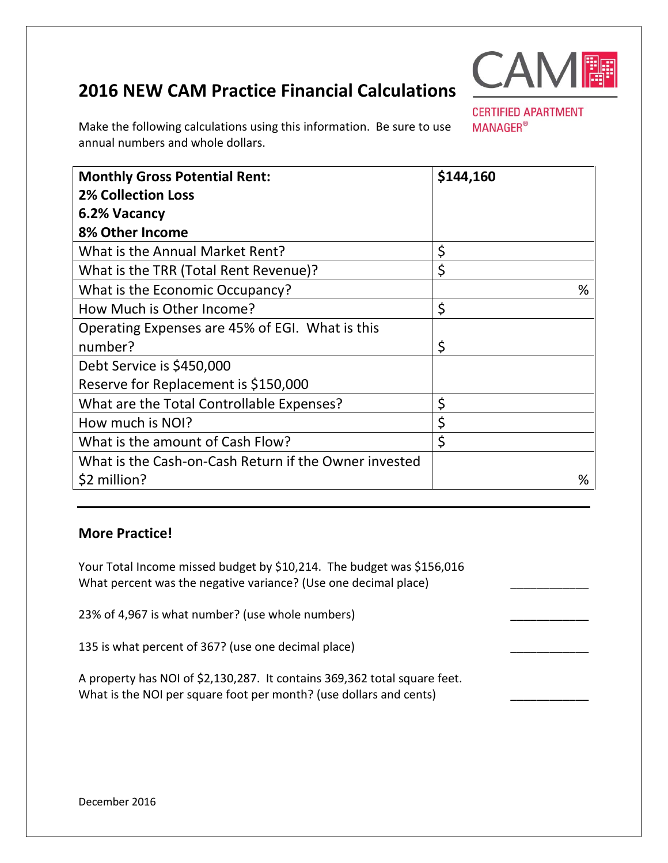## **2016 NEW CAM Practice Financial Calculations**



**CERTIFIED APARTMENT** 

**MANAGER®** 

Make the following calculations using this information. Be sure to use annual numbers and whole dollars.

| <b>Monthly Gross Potential Rent:</b>                  | \$144,160 |
|-------------------------------------------------------|-----------|
| <b>2% Collection Loss</b>                             |           |
| 6.2% Vacancy                                          |           |
| 8% Other Income                                       |           |
| What is the Annual Market Rent?                       | \$        |
| What is the TRR (Total Rent Revenue)?                 | \$        |
| What is the Economic Occupancy?                       | %         |
| How Much is Other Income?                             | \$        |
| Operating Expenses are 45% of EGI. What is this       |           |
| number?                                               | \$        |
| Debt Service is \$450,000                             |           |
| Reserve for Replacement is \$150,000                  |           |
| What are the Total Controllable Expenses?             | \$        |
| How much is NOI?                                      | \$        |
| What is the amount of Cash Flow?                      | \$        |
| What is the Cash-on-Cash Return if the Owner invested |           |
| \$2 million?                                          | %         |

## **More Practice!**

Your Total Income missed budget by \$10,214. The budget was \$156,016 What percent was the negative variance? (Use one decimal place)

23% of 4,967 is what number? (use whole numbers)

135 is what percent of 367? (use one decimal place)

A property has NOI of \$2,130,287. It contains 369,362 total square feet. What is the NOI per square foot per month? (use dollars and cents)